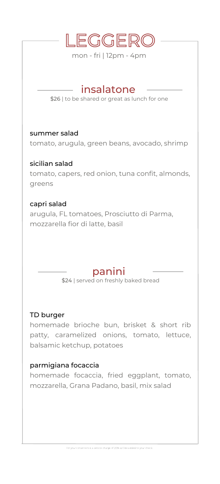

mon - fri | 12pm - 4pm

## insalatone

\$26 | to be shared or great as lunch for one

summer salad

tomato, arugula, green beans, avocado, shrimp

sicilian salad tomato, capers, red onion, tuna confit, almonds, greens

#### capri salad

arugula, FL tomatoes, Prosciutto di Parma, mozzarella fior di latte, basil

## panini

\$24 | served on freshly baked bread

#### TD burger

homemade brioche bun, brisket & short rib patty, caramelized onions, tomato, lettuce, balsamic ketchup, potatoes

#### parmigiana focaccia

homemade focaccia, fried eggplant, tomato, mozzarella, Grana Padano, basil, mix salad